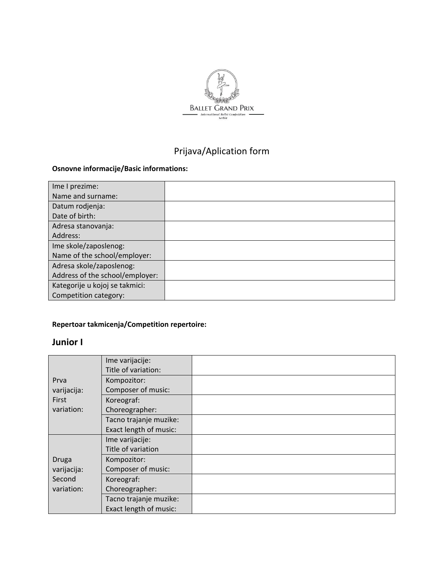

# Prijava/Aplication form

#### **Osnovne informacije/Basic informations:**

| Ime I prezime:                  |  |
|---------------------------------|--|
| Name and surname:               |  |
| Datum rodjenja:                 |  |
| Date of birth:                  |  |
| Adresa stanovanja:              |  |
| Address:                        |  |
| Ime skole/zaposlenog:           |  |
| Name of the school/employer:    |  |
| Adresa skole/zaposlenog:        |  |
| Address of the school/employer: |  |
| Kategorije u kojoj se takmici:  |  |
| Competition category:           |  |

#### **Repertoar takmicenja/Competition repertoire:**

#### **Junior I**

| Prva<br>varijacija:<br>First<br>variation:          | Ime varijacije:        |  |
|-----------------------------------------------------|------------------------|--|
|                                                     | Title of variation:    |  |
|                                                     | Kompozitor:            |  |
|                                                     | Composer of music:     |  |
|                                                     | Koreograf:             |  |
|                                                     | Choreographer:         |  |
|                                                     | Tacno trajanje muzike: |  |
|                                                     | Exact length of music: |  |
| <b>Druga</b><br>varijacija:<br>Second<br>variation: | Ime varijacije:        |  |
|                                                     | Title of variation     |  |
|                                                     | Kompozitor:            |  |
|                                                     | Composer of music:     |  |
|                                                     | Koreograf:             |  |
|                                                     | Choreographer:         |  |
|                                                     | Tacno trajanje muzike: |  |
|                                                     | Exact length of music: |  |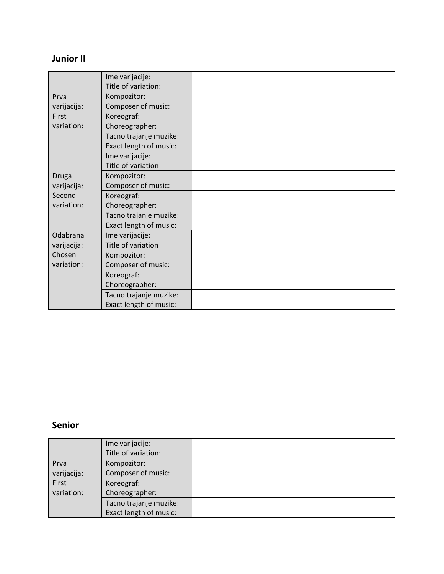## **Junior II**

|                             | Ime varijacije:        |  |
|-----------------------------|------------------------|--|
|                             | Title of variation:    |  |
| Prva                        | Kompozitor:            |  |
| varijacija:                 | Composer of music:     |  |
| <b>First</b>                | Koreograf:             |  |
| variation:                  | Choreographer:         |  |
|                             | Tacno trajanje muzike: |  |
|                             | Exact length of music: |  |
|                             | Ime varijacije:        |  |
| <b>Druga</b><br>varijacija: | Title of variation     |  |
|                             | Kompozitor:            |  |
|                             | Composer of music:     |  |
| Second                      | Koreograf:             |  |
| variation:                  | Choreographer:         |  |
|                             | Tacno trajanje muzike: |  |
|                             | Exact length of music: |  |
| Odabrana<br>varijacija:     | Ime varijacije:        |  |
|                             | Title of variation     |  |
| Chosen                      | Kompozitor:            |  |
| variation:                  | Composer of music:     |  |
|                             | Koreograf:             |  |
|                             | Choreographer:         |  |
|                             | Tacno trajanje muzike: |  |
|                             | Exact length of music: |  |

### **Senior**

|             | Ime varijacije:<br>Title of variation: |  |
|-------------|----------------------------------------|--|
| Prva        | Kompozitor:                            |  |
| varijacija: | Composer of music:                     |  |
| First       | Koreograf:                             |  |
| variation:  | Choreographer:                         |  |
|             | Tacno trajanje muzike:                 |  |
|             | Exact length of music:                 |  |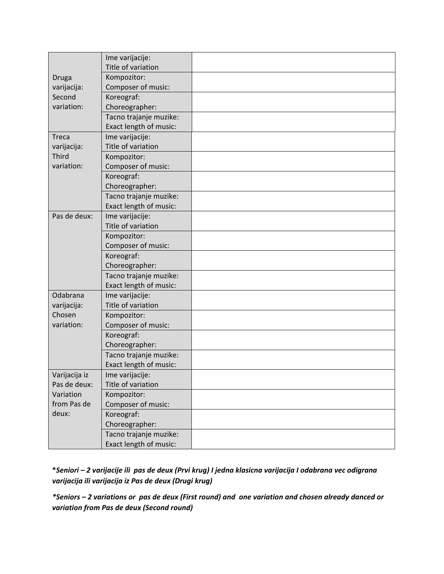|               | Ime varijacije:        |  |
|---------------|------------------------|--|
|               | Title of variation     |  |
| <b>Druga</b>  | Kompozitor:            |  |
| varijacija:   | Composer of music:     |  |
| Second        | Koreograf:             |  |
| variation:    | Choreographer:         |  |
|               | Tacno trajanje muzike: |  |
|               | Exact length of music: |  |
| <b>Treca</b>  | Ime varijacije:        |  |
| varijacija:   | Title of variation     |  |
| Third         | Kompozitor:            |  |
| variation:    | Composer of music:     |  |
|               | Koreograf:             |  |
|               | Choreographer:         |  |
|               | Tacno trajanje muzike: |  |
|               | Exact length of music: |  |
| Pas de deux:  | Ime varijacije:        |  |
|               | Title of variation     |  |
|               | Kompozitor:            |  |
|               | Composer of music:     |  |
|               | Koreograf:             |  |
|               | Choreographer:         |  |
|               | Tacno trajanje muzike: |  |
|               | Exact length of music: |  |
| Odabrana      | Ime varijacije:        |  |
| varijacija:   | Title of variation     |  |
| Chosen        | Kompozitor:            |  |
| variation:    | Composer of music:     |  |
|               | Koreograf:             |  |
|               | Choreographer:         |  |
|               | Tacno trajanje muzike: |  |
|               | Exact length of music: |  |
| Varijacija iz | Ime varijacije:        |  |
| Pas de deux:  | Title of variation     |  |
| Variation     | Kompozitor:            |  |
| from Pas de   | Composer of music:     |  |
| deux:         | Koreograf:             |  |
|               | Choreographer:         |  |
|               | Tacno trajanje muzike: |  |
|               | Exact length of music: |  |

**\****Seniori – 2 varijacije ili pas de deux (Prvi krug) I jedna klasicna varijacija I odabrana vec odigrana varijacija ili varijacija iz Pas de deux (Drugi krug)*

*\*Seniors – 2 variations or pas de deux (First round) and one variation and chosen already danced or variation from Pas de deux (Second round)*